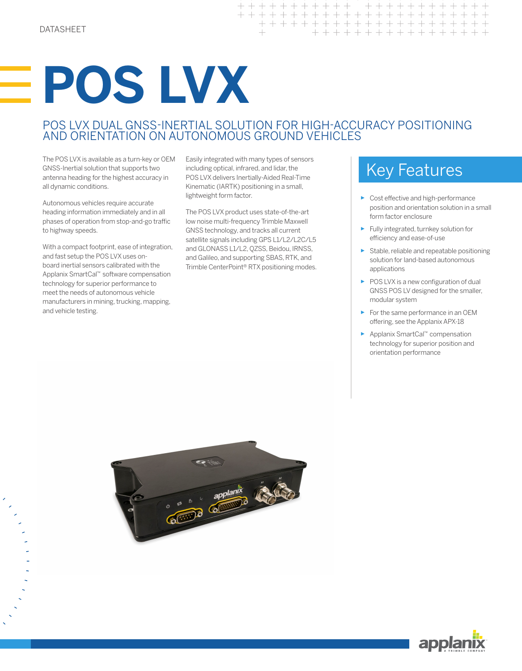# **POS LVX**

# POS LVX DUAL GNSS-INERTIAL SOLUTION FOR HIGH-ACCURACY POSITIONING AND ORIENTATION ON AUTONOMOUS GROUND VEHICLES

+ + + + + + + + + + + + + + + + + +

The POS LVX is available as a turn-key or OEM GNSS-Inertial solution that supports two antenna heading for the highest accuracy in all dynamic conditions.

Autonomous vehicles require accurate heading information immediately and in all phases of operation from stop-and-go traffic to highway speeds.

With a compact footprint, ease of integration, and fast setup the POS LVX uses onboard inertial sensors calibrated with the Applanix SmartCal™ software compensation technology for superior performance to meet the needs of autonomous vehicle manufacturers in mining, trucking, mapping, and vehicle testing.

Easily integrated with many types of sensors including optical, infrared, and lidar, the POS LVX delivers Inertially-Aided Real-Time Kinematic (IARTK) positioning in a small, lightweight form factor.

The POS LVX product uses state-of-the-art low noise multi-frequency Trimble Maxwell GNSS technology, and tracks all current satellite signals including GPS L1/L2/L2C/L5 and GLONASS L1/L2, QZSS, Beidou, IRNSS, and Galileo, and supporting SBAS, RTK, and Trimble CenterPoint® RTX positioning modes.

# Key Features

► Cost effective and high-performance position and orientation solution in a small form factor enclosure

+ + + + + + + + +

+ + + + + + + + + +

 $+$ 

- ► Fully integrated, turnkey solution for efficiency and ease-of-use
- ► Stable, reliable and repeatable positioning solution for land-based autonomous applications
- ► POS LVX is a new configuration of dual GNSS POS LV designed for the smaller, modular system
- ► For the same performance in an OEM offering, see the Applanix APX-18
- ► Applanix SmartCal™ compensation technology for superior position and orientation performance